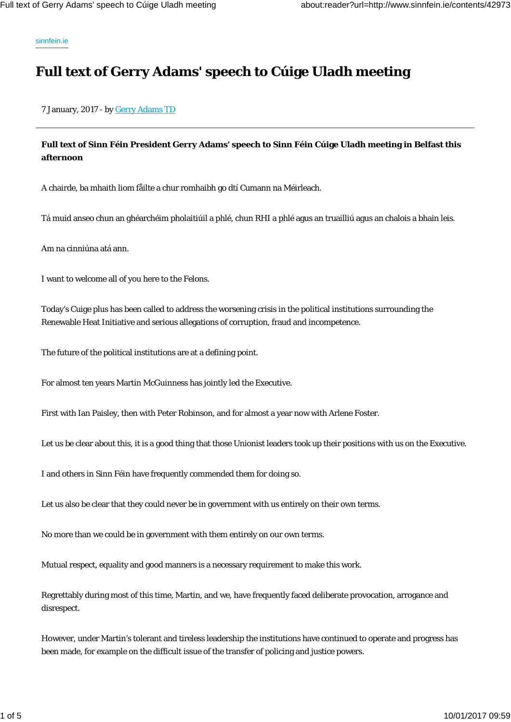sinnfein.ie

## **Full text of Gerry Adams' speech to Cúige Uladh meeting**

7 January, 2017 - by Gerry Adams TD

## **Full text of Sinn Féin President Gerry Adams' speech to Sinn Féin Cúige Uladh meeting in Belfast this afternoon**

A chairde, ba mhaith liom fåilte a chur romhaibh go dtí Cumann na Méirleach.

Tá muid anseo chun an ghéarchéim pholaitiúil a phlé, chun RHI a phlé agus an truailliú agus an chalois a bhain leis.

Am na cinniúna atá ann.

I want to welcome all of you here to the Felons.

Today's Cuige plus has been called to address the worsening crisis in the political institutions surrounding the Renewable Heat Initiative and serious allegations of corruption, fraud and incompetence.

The future of the political institutions are at a defining point.

For almost ten years Martin McGuinness has jointly led the Executive.

First with Ian Paisley, then with Peter Robinson, and for almost a year now with Arlene Foster.

Let us be clear about this, it is a good thing that those Unionist leaders took up their positions with us on the Executive.

I and others in Sinn Féin have frequently commended them for doing so.

Let us also be clear that they could never be in government with us entirely on their own terms.

No more than we could be in government with them entirely on our own terms.

Mutual respect, equality and good manners is a necessary requirement to make this work.

Regrettably during most of this time, Martin, and we, have frequently faced deliberate provocation, arrogance and disrespect.

However, under Martin's tolerant and tireless leadership the institutions have continued to operate and progress has been made, for example on the difficult issue of the transfer of policing and justice powers.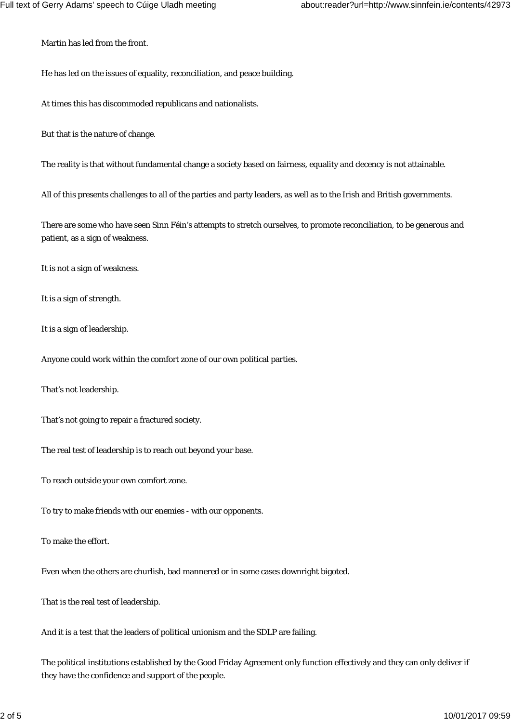Martin has led from the front.

He has led on the issues of equality, reconciliation, and peace building.

At times this has discommoded republicans and nationalists.

But that is the nature of change.

The reality is that without fundamental change a society based on fairness, equality and decency is not attainable.

All of this presents challenges to all of the parties and party leaders, as well as to the Irish and British governments.

There are some who have seen Sinn Féin's attempts to stretch ourselves, to promote reconciliation, to be generous and patient, as a sign of weakness.

It is not a sign of weakness.

It is a sign of strength.

It is a sign of leadership.

Anyone could work within the comfort zone of our own political parties.

That's not leadership.

That's not going to repair a fractured society.

The real test of leadership is to reach out beyond your base.

To reach outside your own comfort zone.

To try to make friends with our enemies - with our opponents.

To make the effort.

Even when the others are churlish, bad mannered or in some cases downright bigoted.

That is the real test of leadership.

And it is a test that the leaders of political unionism and the SDLP are failing.

The political institutions established by the Good Friday Agreement only function effectively and they can only deliver if they have the confidence and support of the people.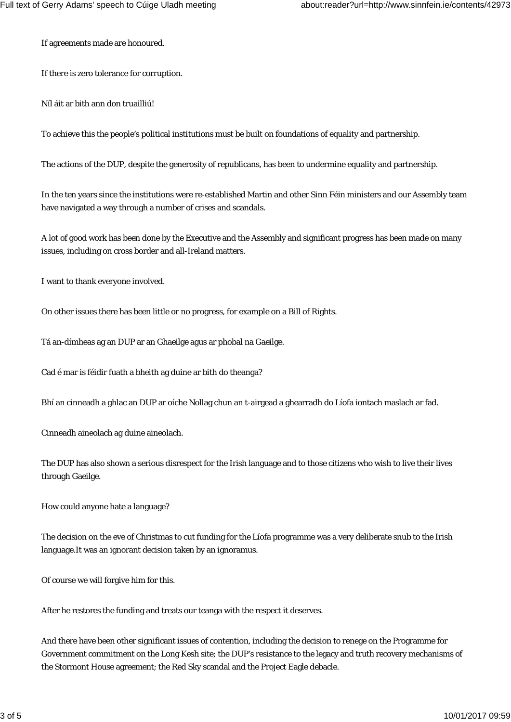If agreements made are honoured.

If there is zero tolerance for corruption.

Níl áit ar bith ann don truailliú!

To achieve this the people's political institutions must be built on foundations of equality and partnership.

The actions of the DUP, despite the generosity of republicans, has been to undermine equality and partnership.

In the ten years since the institutions were re-established Martin and other Sinn Féin ministers and our Assembly team have navigated a way through a number of crises and scandals.

A lot of good work has been done by the Executive and the Assembly and significant progress has been made on many issues, including on cross border and all-Ireland matters.

I want to thank everyone involved.

On other issues there has been little or no progress, for example on a Bill of Rights.

Tá an-dímheas ag an DUP ar an Ghaeilge agus ar phobal na Gaeilge.

Cad é mar is féidir fuath a bheith ag duine ar bith do theanga?

Bhí an cinneadh a ghlac an DUP ar oíche Nollag chun an t-airgead a ghearradh do Líofa iontach maslach ar fad.

Cinneadh aineolach ag duine aineolach.

The DUP has also shown a serious disrespect for the Irish language and to those citizens who wish to live their lives through Gaeilge.

How could anyone hate a language?

The decision on the eve of Christmas to cut funding for the Líofa programme was a very deliberate snub to the Irish language.It was an ignorant decision taken by an ignoramus.

Of course we will forgive him for this.

After he restores the funding and treats our teanga with the respect it deserves.

And there have been other significant issues of contention, including the decision to renege on the Programme for Government commitment on the Long Kesh site; the DUP's resistance to the legacy and truth recovery mechanisms of the Stormont House agreement; the Red Sky scandal and the Project Eagle debacle.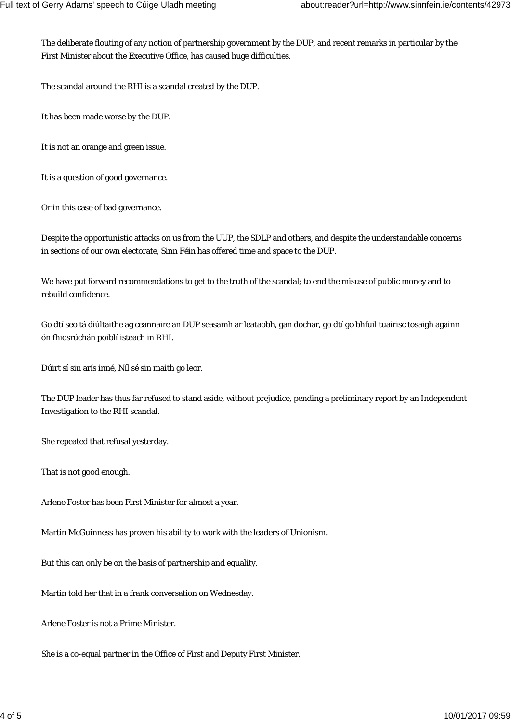The deliberate flouting of any notion of partnership government by the DUP, and recent remarks in particular by the First Minister about the Executive Office, has caused huge difficulties.

The scandal around the RHI is a scandal created by the DUP.

It has been made worse by the DUP.

It is not an orange and green issue.

It is a question of good governance.

Or in this case of bad governance.

Despite the opportunistic attacks on us from the UUP, the SDLP and others, and despite the understandable concerns in sections of our own electorate, Sinn Féin has offered time and space to the DUP.

We have put forward recommendations to get to the truth of the scandal; to end the misuse of public money and to rebuild confidence.

Go dtí seo tá diúltaithe ag ceannaire an DUP seasamh ar leataobh, gan dochar, go dtí go bhfuil tuairisc tosaigh againn ón fhiosrúchán poiblí isteach in RHI.

Dúirt sí sin arís inné, Níl sé sin maith go leor.

The DUP leader has thus far refused to stand aside, without prejudice, pending a preliminary report by an Independent Investigation to the RHI scandal.

She repeated that refusal yesterday.

That is not good enough.

Arlene Foster has been First Minister for almost a year.

Martin McGuinness has proven his ability to work with the leaders of Unionism.

But this can only be on the basis of partnership and equality.

Martin told her that in a frank conversation on Wednesday.

Arlene Foster is not a Prime Minister.

She is a co-equal partner in the Office of First and Deputy First Minister.